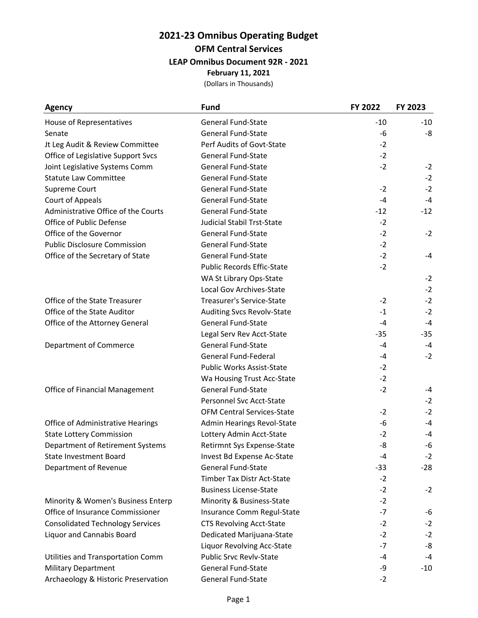## **2021-23 Omnibus Operating Budget OFM Central Services LEAP Omnibus Document 92R - 2021 February 11, 2021**

(Dollars in Thousands)

| <b>Agency</b>                           | <b>Fund</b>                       | FY 2022 | FY 2023 |
|-----------------------------------------|-----------------------------------|---------|---------|
| House of Representatives                | <b>General Fund-State</b>         | $-10$   | $-10$   |
| Senate                                  | <b>General Fund-State</b>         | -6      | -8      |
| Jt Leg Audit & Review Committee         | Perf Audits of Govt-State         | $-2$    |         |
| Office of Legislative Support Svcs      | <b>General Fund-State</b>         | $-2$    |         |
| Joint Legislative Systems Comm          | <b>General Fund-State</b>         | $-2$    | $-2$    |
| <b>Statute Law Committee</b>            | <b>General Fund-State</b>         |         | $-2$    |
| Supreme Court                           | <b>General Fund-State</b>         | $-2$    | $-2$    |
| Court of Appeals                        | <b>General Fund-State</b>         | $-4$    | $-4$    |
| Administrative Office of the Courts     | <b>General Fund-State</b>         | $-12$   | $-12$   |
| Office of Public Defense                | <b>Judicial Stabil Trst-State</b> | $-2$    |         |
| Office of the Governor                  | <b>General Fund-State</b>         | $-2$    | $-2$    |
| <b>Public Disclosure Commission</b>     | <b>General Fund-State</b>         | $-2$    |         |
| Office of the Secretary of State        | <b>General Fund-State</b>         | $-2$    | $-4$    |
|                                         | <b>Public Records Effic-State</b> | $-2$    |         |
|                                         | WA St Library Ops-State           |         | $-2$    |
|                                         | Local Gov Archives-State          |         | $-2$    |
| Office of the State Treasurer           | Treasurer's Service-State         | $-2$    | $-2$    |
| Office of the State Auditor             | <b>Auditing Svcs Revolv-State</b> | $-1$    | $-2$    |
| Office of the Attorney General          | <b>General Fund-State</b>         | -4      | $-4$    |
|                                         | Legal Serv Rev Acct-State         | -35     | $-35$   |
| Department of Commerce                  | <b>General Fund-State</b>         | -4      | $-4$    |
|                                         | <b>General Fund-Federal</b>       | $-4$    | $-2$    |
|                                         | Public Works Assist-State         | $-2$    |         |
|                                         | Wa Housing Trust Acc-State        | $-2$    |         |
| Office of Financial Management          | <b>General Fund-State</b>         | $-2$    | -4      |
|                                         | Personnel Svc Acct-State          |         | $-2$    |
|                                         | <b>OFM Central Services-State</b> | $-2$    | $-2$    |
| Office of Administrative Hearings       | Admin Hearings Revol-State        | -6      | -4      |
| <b>State Lottery Commission</b>         | Lottery Admin Acct-State          | $-2$    | -4      |
| Department of Retirement Systems        | Retirmnt Sys Expense-State        | -8      | -6      |
| State Investment Board                  | Invest Bd Expense Ac-State        | $-4$    | $-2$    |
| Department of Revenue                   | <b>General Fund-State</b>         | $-33$   | $-28$   |
|                                         | Timber Tax Distr Act-State        | $-2$    |         |
|                                         | <b>Business License-State</b>     | $-2$    | $-2$    |
| Minority & Women's Business Enterp      | Minority & Business-State         | $-2$    |         |
| Office of Insurance Commissioner        | Insurance Comm Regul-State        | $-7$    | -6      |
| <b>Consolidated Technology Services</b> | <b>CTS Revolving Acct-State</b>   | $-2$    | $-2$    |
| Liquor and Cannabis Board               | Dedicated Marijuana-State         | $-2$    | $-2$    |
|                                         | Liquor Revolving Acc-State        | $-7$    | -8      |
| Utilities and Transportation Comm       | <b>Public Srvc Revlv-State</b>    | $-4$    | -4      |
| <b>Military Department</b>              | <b>General Fund-State</b>         | -9      | $-10$   |
| Archaeology & Historic Preservation     | General Fund-State                | $-2$    |         |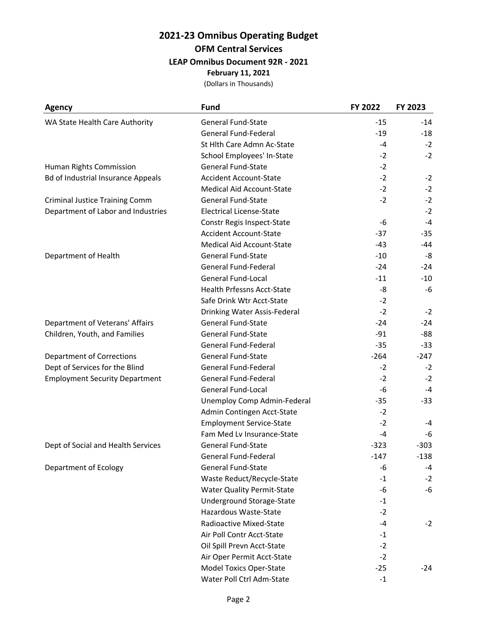## **2021-23 Omnibus Operating Budget OFM Central Services LEAP Omnibus Document 92R - 2021 February 11, 2021**

(Dollars in Thousands)

| <b>Agency</b>                             | <b>Fund</b>                       | FY 2022 | FY 2023 |
|-------------------------------------------|-----------------------------------|---------|---------|
| WA State Health Care Authority            | <b>General Fund-State</b>         | $-15$   | $-14$   |
|                                           | General Fund-Federal              | $-19$   | $-18$   |
|                                           | St Hlth Care Admn Ac-State        | -4      | $-2$    |
|                                           | School Employees' In-State        | $-2$    | $-2$    |
| Human Rights Commission                   | <b>General Fund-State</b>         | $-2$    |         |
| <b>Bd of Industrial Insurance Appeals</b> | <b>Accident Account-State</b>     | $-2$    | $-2$    |
|                                           | Medical Aid Account-State         | $-2$    | $-2$    |
| <b>Criminal Justice Training Comm</b>     | <b>General Fund-State</b>         | $-2$    | $-2$    |
| Department of Labor and Industries        | <b>Electrical License-State</b>   |         | $-2$    |
|                                           | Constr Regis Inspect-State        | -6      | $-4$    |
|                                           | <b>Accident Account-State</b>     | $-37$   | $-35$   |
|                                           | <b>Medical Aid Account-State</b>  | $-43$   | -44     |
| Department of Health                      | <b>General Fund-State</b>         | $-10$   | -8      |
|                                           | General Fund-Federal              | $-24$   | $-24$   |
|                                           | General Fund-Local                | $-11$   | $-10$   |
|                                           | <b>Health Prfessns Acct-State</b> | -8      | -6      |
|                                           | Safe Drink Wtr Acct-State         | $-2$    |         |
|                                           | Drinking Water Assis-Federal      | $-2$    | $-2$    |
| Department of Veterans' Affairs           | <b>General Fund-State</b>         | $-24$   | $-24$   |
| Children, Youth, and Families             | <b>General Fund-State</b>         | $-91$   | $-88$   |
|                                           | General Fund-Federal              | $-35$   | $-33$   |
| <b>Department of Corrections</b>          | General Fund-State                | $-264$  | $-247$  |
| Dept of Services for the Blind            | General Fund-Federal              | $-2$    | $-2$    |
| <b>Employment Security Department</b>     | General Fund-Federal              | $-2$    | $-2$    |
|                                           | General Fund-Local                | -6      | $-4$    |
|                                           | Unemploy Comp Admin-Federal       | -35     | $-33$   |
|                                           | Admin Contingen Acct-State        | $-2$    |         |
|                                           | <b>Employment Service-State</b>   | $-2$    | -4      |
|                                           | Fam Med Lv Insurance-State        | -4      | -6      |
| Dept of Social and Health Services        | <b>General Fund-State</b>         | $-323$  | $-303$  |
|                                           | General Fund-Federal              | $-147$  | $-138$  |
| Department of Ecology                     | <b>General Fund-State</b>         | -6      | -4      |
|                                           | Waste Reduct/Recycle-State        | $-1$    | $-2$    |
|                                           | <b>Water Quality Permit-State</b> | -6      | -6      |
|                                           | Underground Storage-State         | $-1$    |         |
|                                           | Hazardous Waste-State             | $-2$    |         |
|                                           | Radioactive Mixed-State           | -4      | $-2$    |
|                                           | Air Poll Contr Acct-State         | $-1$    |         |
|                                           | Oil Spill Prevn Acct-State        | $-2$    |         |
|                                           | Air Oper Permit Acct-State        | $-2$    |         |
|                                           | Model Toxics Oper-State           | $-25$   | $-24$   |
|                                           | Water Poll Ctrl Adm-State         | $-1$    |         |